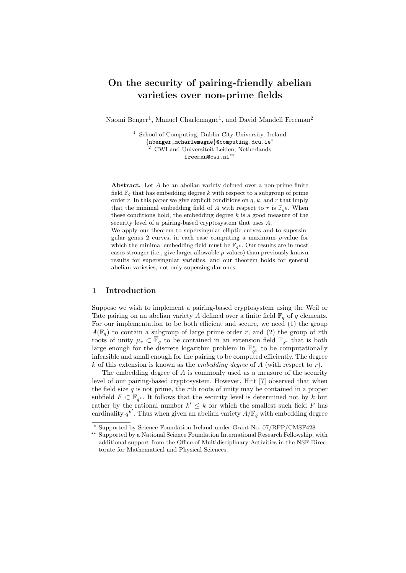# On the security of pairing-friendly abelian varieties over non-prime fields

Naomi Benger<sup>1</sup>, Manuel Charlemagne<sup>1</sup>, and David Mandell Freeman<sup>2</sup>

 $1$  School of Computing, Dublin City University, Ireland {nbenger,mcharlemagne}@computing.dcu.ie? <sup>2</sup> CWI and Universiteit Leiden, Netherlands freeman@cwi.nl<sup>\*</sup>

Abstract. Let A be an abelian variety defined over a non-prime finite field  $\mathbb{F}_q$  that has embedding degree k with respect to a subgroup of prime order r. In this paper we give explicit conditions on  $q, k$ , and r that imply that the minimal embedding field of A with respect to r is  $\mathbb{F}_{q^k}$ . When these conditions hold, the embedding degree  $k$  is a good measure of the security level of a pairing-based cryptosystem that uses A.

We apply our theorem to supersingular elliptic curves and to supersingular genus 2 curves, in each case computing a maximum  $\rho$ -value for which the minimal embedding field must be  $\mathbb{F}_{q^k}$ . Our results are in most cases stronger (i.e., give larger allowable  $\rho$ -values) than previously known results for supersingular varieties, and our theorem holds for general abelian varieties, not only supersingular ones.

# 1 Introduction

Suppose we wish to implement a pairing-based cryptosystem using the Weil or Tate pairing on an abelian variety A defined over a finite field  $\mathbb{F}_q$  of q elements. For our implementation to be both efficient and secure, we need (1) the group  $A(\mathbb{F}_q)$  to contain a subgroup of large prime order r, and (2) the group of rth roots of unity  $\mu_r \subset \overline{\mathbb{F}}_q$  to be contained in an extension field  $\mathbb{F}_{q^k}$  that is both large enough for the discrete logarithm problem in  $\mathbb{F}_{q^k}^*$  to be computationally infeasible and small enough for the pairing to be computed efficiently. The degree k of this extension is known as the *embedding degree* of  $A$  (with respect to  $r$ ).

The embedding degree of A is commonly used as a measure of the security level of our pairing-based cryptosystem. However, Hitt [7] observed that when the field size  $q$  is not prime, the rth roots of unity may be contained in a proper subfield  $F \subset \mathbb{F}_{q^k}$ . It follows that the security level is determined not by k but rather by the rational number  $k' \leq k$  for which the smallest such field F has cardinality  $q^{k'}$ . Thus when given an abelian variety  $A/\mathbb{F}_q$  with embedding degree

<sup>?</sup> Supported by Science Foundation Ireland under Grant No. 07/RFP/CMSF428

<sup>\*\*</sup> Supported by a National Science Foundation International Research Fellowship, with additional support from the Office of Multidisciplinary Activities in the NSF Directorate for Mathematical and Physical Sciences.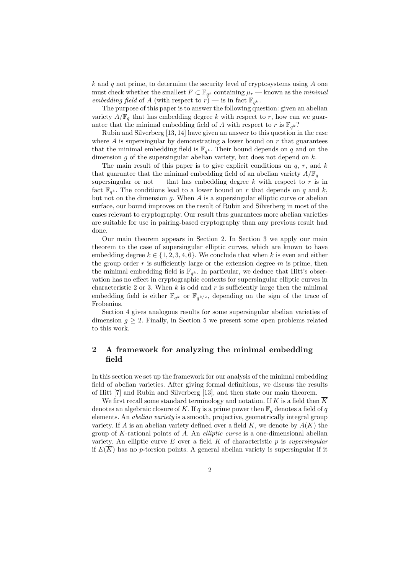$k$  and  $q$  not prime, to determine the security level of cryptosystems using  $A$  one must check whether the smallest  $F \subset \mathbb{F}_{q^k}$  containing  $\mu_r$  — known as the *minimal* embedding field of A (with respect to  $r$ ) — is in fact  $\mathbb{F}_{q^k}$ .

The purpose of this paper is to answer the following question: given an abelian variety  $A/\mathbb{F}_q$  that has embedding degree k with respect to r, how can we guarantee that the minimal embedding field of A with respect to r is  $\mathbb{F}_{q^k}$ ?

Rubin and Silverberg [13, 14] have given an answer to this question in the case where A is supersingular by demonstrating a lower bound on  $r$  that guarantees that the minimal embedding field is  $\mathbb{F}_{q^k}$ . Their bound depends on q and on the dimension  $g$  of the supersingular abelian variety, but does not depend on  $k$ .

The main result of this paper is to give explicit conditions on  $q, r$ , and  $k$ that guarantee that the minimal embedding field of an abelian variety  $A/\mathbb{F}_q$  supersingular or not — that has embedding degree  $k$  with respect to  $r$  is in fact  $\mathbb{F}_{q^k}$ . The conditions lead to a lower bound on r that depends on q and k, but not on the dimension g. When  $A$  is a supersingular elliptic curve or abelian surface, our bound improves on the result of Rubin and Silverberg in most of the cases relevant to cryptography. Our result thus guarantees more abelian varieties are suitable for use in pairing-based cryptography than any previous result had done.

Our main theorem appears in Section 2. In Section 3 we apply our main theorem to the case of supersingular elliptic curves, which are known to have embedding degree  $k \in \{1, 2, 3, 4, 6\}$ . We conclude that when k is even and either the group order  $r$  is sufficiently large or the extension degree  $m$  is prime, then the minimal embedding field is  $\mathbb{F}_{q^k}$ . In particular, we deduce that Hitt's observation has no effect in cryptographic contexts for supersingular elliptic curves in characteristic 2 or 3. When k is odd and r is sufficiently large then the minimal embedding field is either  $\mathbb{F}_{q^k}$  or  $\mathbb{F}_{q^{k/2}}$ , depending on the sign of the trace of Frobenius.

Section 4 gives analogous results for some supersingular abelian varieties of dimension  $g \geq 2$ . Finally, in Section 5 we present some open problems related to this work.

# 2 A framework for analyzing the minimal embedding field

In this section we set up the framework for our analysis of the minimal embedding field of abelian varieties. After giving formal definitions, we discuss the results of Hitt [7] and Rubin and Silverberg [13], and then state our main theorem.

We first recall some standard terminology and notation. If K is a field then  $\overline{K}$ denotes an algebraic closure of K. If q is a prime power then  $\mathbb{F}_q$  denotes a field of q elements. An abelian variety is a smooth, projective, geometrically integral group variety. If A is an abelian variety defined over a field  $K$ , we denote by  $A(K)$  the group of  $K$ -rational points of  $A$ . An *elliptic curve* is a one-dimensional abelian variety. An elliptic curve  $E$  over a field  $K$  of characteristic  $p$  is supersingular if  $E(\overline{K})$  has no p-torsion points. A general abelian variety is supersingular if it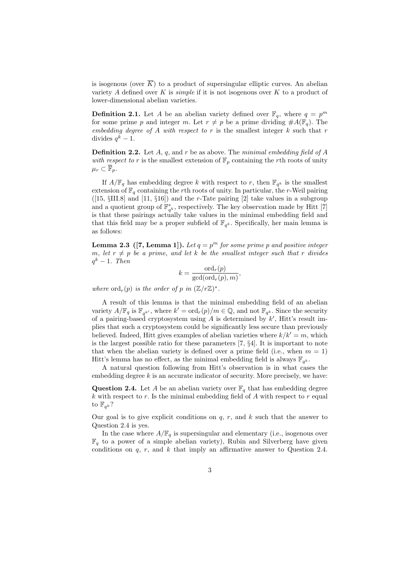is isogenous (over  $\overline{K}$ ) to a product of supersingular elliptic curves. An abelian variety A defined over K is *simple* if it is not isogenous over K to a product of lower-dimensional abelian varieties.

**Definition 2.1.** Let A be an abelian variety defined over  $\mathbb{F}_q$ , where  $q = p^m$ for some prime p and integer m. Let  $r \neq p$  be a prime dividing  $\#A(\mathbb{F}_q)$ . The embedding degree of A with respect to r is the smallest integer  $k$  such that r divides  $q^k-1$ .

**Definition 2.2.** Let  $A$ ,  $q$ , and  $r$  be as above. The minimal embedding field of  $A$ with respect to r is the smallest extension of  $\mathbb{F}_p$  containing the rth roots of unity  $\mu_r \subset \overline{\mathbb{F}}_p$ .

If  $A/\mathbb{F}_q$  has embedding degree k with respect to r, then  $\mathbb{F}_{q^k}$  is the smallest extension of  $\mathbb{F}_q$  containing the rth roots of unity. In particular, the r-Weil pairing ([15,  $\SIII.8$ ] and [11,  $\S16$ ]) and the r-Tate pairing [2] take values in a subgroup and a quotient group of  $\mathbb{F}_{q^k}^*$ , respectively. The key observation made by Hitt [7] is that these pairings actually take values in the minimal embedding field and that this field may be a proper subfield of  $\mathbb{F}_{q^k}$ . Specifically, her main lemma is as follows:

**Lemma 2.3** ([7, Lemma 1]). Let  $q = p^m$  for some prime p and positive integer m, let  $r \neq p$  be a prime, and let k be the smallest integer such that r divides  $q^k-1$ . Then

$$
k = \frac{\mathrm{ord}_r(p)}{\mathrm{gcd}(\mathrm{ord}_r(p), m)},
$$

where  $\mathrm{ord}_r(p)$  is the order of p in  $(\mathbb{Z}/r\mathbb{Z})^*$ .

A result of this lemma is that the minimal embedding field of an abelian variety  $A/\mathbb{F}_q$  is  $\mathbb{F}_{q^{k'}}$ , where  $k' = \text{ord}_r(p)/m \in \mathbb{Q}$ , and not  $\mathbb{F}_{q^k}$ . Since the security of a pairing-based cryptosystem using A is determined by  $k'$ , Hitt's result implies that such a cryptosystem could be significantly less secure than previously believed. Indeed, Hitt gives examples of abelian varieties where  $k/k' = m$ , which is the largest possible ratio for these parameters [7, §4]. It is important to note that when the abelian variety is defined over a prime field (i.e., when  $m = 1$ ) Hitt's lemma has no effect, as the minimal embedding field is always  $\mathbb{F}_{q^k}$ .

A natural question following from Hitt's observation is in what cases the embedding degree  $k$  is an accurate indicator of security. More precisely, we have:

**Question 2.4.** Let A be an abelian variety over  $\mathbb{F}_q$  that has embedding degree  $k$  with respect to  $r$ . Is the minimal embedding field of  $A$  with respect to  $r$  equal to  $\mathbb{F}_{q^k}$ ?

Our goal is to give explicit conditions on  $q, r$ , and  $k$  such that the answer to Question 2.4 is yes.

In the case where  $A/\mathbb{F}_q$  is supersingular and elementary (i.e., isogenous over  $\mathbb{F}_q$  to a power of a simple abelian variety), Rubin and Silverberg have given conditions on  $q$ ,  $r$ , and  $k$  that imply an affirmative answer to Question 2.4.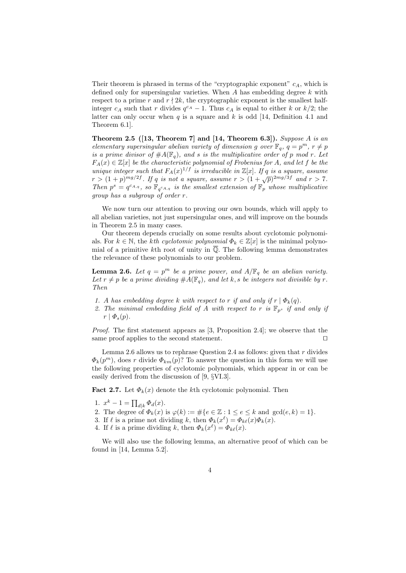Their theorem is phrased in terms of the "cryptographic exponent"  $c_A$ , which is defined only for supersingular varieties. When  $A$  has embedding degree  $k$  with respect to a prime r and  $r \nmid 2k$ , the cryptographic exponent is the smallest halfinteger  $c_A$  such that r divides  $q^{c_A} - 1$ . Thus  $c_A$  is equal to either k or  $k/2$ ; the latter can only occur when q is a square and k is odd [14, Definition 4.1 and Theorem 6.1].

Theorem 2.5 ([13, Theorem 7] and [14, Theorem 6.3]). Suppose A is an elementary supersingular abelian variety of dimension g over  $\mathbb{F}_q$ ,  $q = p^m$ ,  $r \neq p$ is a prime divisor of  $#A(\mathbb{F}_q)$ , and s is the multiplicative order of p mod r. Let  $F_A(x) \in \mathbb{Z}[x]$  be the characteristic polynomial of Frobenius for A, and let f be the unique integer such that  $F_A(x)^{1/f}$  is irreducible in  $\mathbb{Z}[x]$ . If q is a square, assume  $r > (1+p)^{mg/2f}$ . If q is not a square, assume  $r > (1+\sqrt{p})^{2mg/3f}$  and  $r > 7$ . Then  $p^s = q^{c_{A,q}}$ , so  $\mathbb{F}_{q^{c_{A,q}}}$  is the smallest extension of  $\mathbb{F}_p$  whose multiplicative group has a subgroup of order r.

We now turn our attention to proving our own bounds, which will apply to all abelian varieties, not just supersingular ones, and will improve on the bounds in Theorem 2.5 in many cases.

Our theorem depends crucially on some results about cyclotomic polynomials. For  $k \in \mathbb{N}$ , the kth cyclotomic polynomial  $\Phi_k \in \mathbb{Z}[x]$  is the minimal polynomial of a primitive kth root of unity in  $\overline{Q}$ . The following lemma demonstrates the relevance of these polynomials to our problem.

**Lemma 2.6.** Let  $q = p^m$  be a prime power, and  $A/\mathbb{F}_q$  be an abelian variety. Let  $r \neq p$  be a prime dividing  $\#A(\mathbb{F}_q)$ , and let k, s be integers not divisible by r. Then

- 1. A has embedding degree k with respect to r if and only if  $r | \Phi_k(q)$ .
- 2. The minimal embedding field of A with respect to r is  $\mathbb{F}_{p^s}$  if and only if  $r | \Phi_{s}(p).$

Proof. The first statement appears as [3, Proposition 2.4]; we observe that the same proof applies to the second statement.  $\Box$ 

Lemma 2.6 allows us to rephrase Question 2.4 as follows: given that  $r$  divides  $\Phi_k(p^m)$ , does r divide  $\Phi_{km}(p)$ ? To answer the question in this form we will use the following properties of cyclotomic polynomials, which appear in or can be easily derived from the discussion of [9, §VI.3].

Fact 2.7. Let  $\Phi_k(x)$  denote the kth cyclotomic polynomial. Then

- 1.  $x^k 1 = \prod_{d|k} \Phi_d(x)$ .
- 2. The degree of  $\Phi_k(x)$  is  $\varphi(k) := \#\{e \in \mathbb{Z} : 1 \le e \le k \text{ and } \gcd(e,k)=1\}.$
- 3. If  $\ell$  is a prime not dividing k, then  $\Phi_k(x^{\ell}) = \Phi_{k\ell}(x)\Phi_k(x)$ .
- 4. If  $\ell$  is a prime dividing k, then  $\Phi_k(x^{\ell}) = \Phi_{k\ell}(x)$ .

We will also use the following lemma, an alternative proof of which can be found in [14, Lemma 5.2].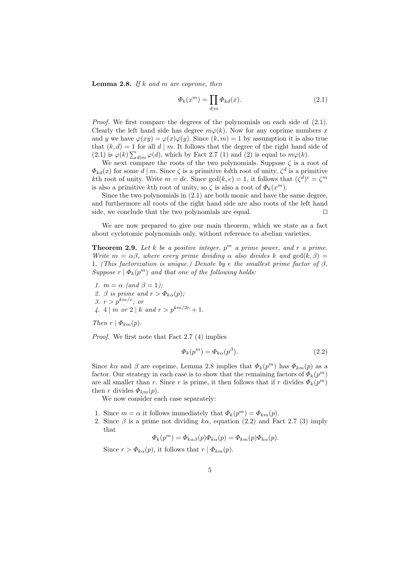**Lemma 2.8.** If k and m are coprime, then

$$
\Phi_k(x^m) = \prod_{d|m} \Phi_{kd}(x). \tag{2.1}
$$

Proof. We first compare the degrees of the polynomials on each side of  $(2.1)$ . Clearly the left hand side has degree  $m\varphi(k)$ . Now for any coprime numbers x and y we have  $\varphi(xy) = \varphi(x)\varphi(y)$ . Since  $(k, m) = 1$  by assumption it is also true that  $(k, d) = 1$  for all d | m. It follows that the degree of the right hand side of (2.1) is  $\varphi(k) \sum_{d|m} \varphi(d)$ , which by Fact 2.7 (1) and (2) is equal to  $m\varphi(k)$ .

We next compare the roots of the two polynomials. Suppose  $\zeta$  is a root of  $\Phi_{kd}(x)$  for some  $d \mid m$ . Since  $\zeta$  is a primitive kdth root of unity,  $\zeta^d$  is a primitive kth root of unity. Write  $m = de$ . Since  $gcd(k, e) = 1$ , it follows that  $(\zeta^d)^e = \zeta^m$ is also a primitive kth root of unity, so  $\zeta$  is also a root of  $\Phi_k(x^m)$ .

Since the two polynomials in (2.1) are both monic and have the same degree, and furthermore all roots of the right hand side are also roots of the left hand side, we conclude that the two polynomials are equal.  $\Box$ 

We are now prepared to give our main theorem, which we state as a fact about cyclotomic polynomials only, without reference to abelian varieties.

**Theorem 2.9.** Let k be a positive integer,  $p^m$  a prime power, and r a prime. Write  $m = \alpha \beta$ , where every prime dividing  $\alpha$  also divides k and  $gcd(k, \beta)$ 1. (This factorization is unique.) Denote by e the smallest prime factor of  $\beta$ . Suppose  $r | \Phi_k(p^m)$  and that one of the following holds:

1.  $m = \alpha$  (and  $\beta = 1$ ); 2. β is prime and  $r > \Phi_{k\alpha}(p)$ ; 3.  $r > p^{km/e}$ ; or 4. 4 | m or 2 | k and  $r > p^{km/2e} + 1$ .

Then  $r | \Phi_{km}(p)$ .

Proof. We first note that Fact 2.7 (4) implies

$$
\Phi_k(p^m) = \Phi_{k\alpha}(p^{\beta}).\tag{2.2}
$$

Since  $k\alpha$  and  $\beta$  are coprime, Lemma 2.8 implies that  $\Phi_k(p^m)$  has  $\Phi_{km}(p)$  as a factor. Our strategy in each case is to show that the remaining factors of  $\Phi_k(p^m)$ are all smaller than r. Since r is prime, it then follows that if r divides  $\Phi_k(p^m)$ then r divides  $\Phi_{km}(p)$ .

We now consider each case separately:

- 1. Since  $m = \alpha$  it follows immediately that  $\Phi_k(p^m) = \Phi_{km}(p)$ .
- 2. Since  $\beta$  is a prime not dividing  $k\alpha$ , equation (2.2) and Fact 2.7 (3) imply that

$$
\Phi_k(p^m) = \Phi_{k\alpha\beta}(p)\Phi_{k\alpha}(p) = \Phi_{km}(p)\Phi_{k\alpha}(p).
$$

Since  $r > \Phi_{k\alpha}(p)$ , it follows that  $r | \Phi_{km}(p)$ .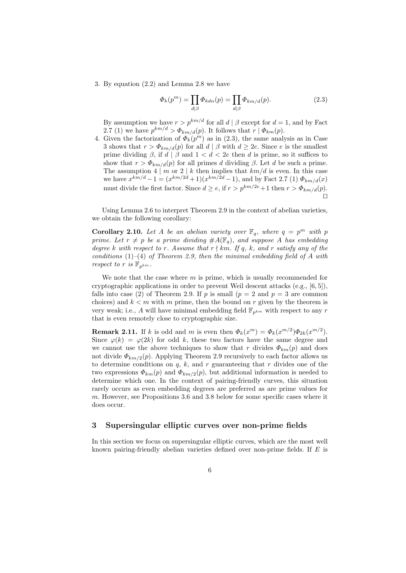3. By equation (2.2) and Lemma 2.8 we have

$$
\Phi_k(p^m) = \prod_{d|\beta} \Phi_{k d\alpha}(p) = \prod_{d|\beta} \Phi_{k m/d}(p). \tag{2.3}
$$

By assumption we have  $r > p^{km/d}$  for all  $d | \beta$  except for  $d = 1$ , and by Fact 2.7 (1) we have  $p^{km/d} > \Phi_{km/d}(p)$ . It follows that  $r | \Phi_{km}(p)$ .

4. Given the factorization of  $\Phi_k(p^m)$  as in (2.3), the same analysis as in Case 3 shows that  $r > \Phi_{km/d}(p)$  for all  $d | \beta$  with  $d \geq 2e$ . Since e is the smallest prime dividing  $\beta$ , if  $d \mid \beta$  and  $1 < d < 2e$  then d is prime, so it suffices to show that  $r > \Phi_{km/d}(p)$  for all primes d dividing  $\beta$ . Let d be such a prime. The assumption  $4 \mid m$  or  $2 \mid k$  then implies that  $km/d$  is even. In this case we have  $x^{km/d} - 1 = (x^{km/2d} + 1)(x^{km/2d} - 1)$ , and by Fact 2.7 (1)  $\Phi_{km/d}(x)$ must divide the first factor. Since  $d \geq e$ , if  $r > p^{km/2e} + 1$  then  $r > \Phi_{km/d}(p)$ .  $\Box$ 

Using Lemma 2.6 to interpret Theorem 2.9 in the context of abelian varieties, we obtain the following corollary:

**Corollary 2.10.** Let A be an abelian variety over  $\mathbb{F}_q$ , where  $q = p^m$  with p prime. Let  $r \neq p$  be a prime dividing  $#A(\mathbb{F}_q)$ , and suppose A has embedding degree k with respect to r. Assume that  $r \nmid km$ . If q, k, and r satisfy any of the conditions  $(1)-(4)$  of Theorem 2.9, then the minimal embedding field of A with respect to r is  $\mathbb{F}_{p^{km}}$ .

We note that the case where  $m$  is prime, which is usually recommended for cryptographic applications in order to prevent Weil descent attacks (e.g., [6, 5]), falls into case (2) of Theorem 2.9. If p is small ( $p = 2$  and  $p = 3$  are common choices) and  $k < m$  with m prime, then the bound on r given by the theorem is very weak; i.e., A will have minimal embedding field  $\mathbb{F}_{p^{km}}$  with respect to any r that is even remotely close to cryptographic size.

**Remark 2.11.** If k is odd and m is even then  $\Phi_k(x^m) = \Phi_k(x^{m/2})\Phi_{2k}(x^{m/2})$ . Since  $\varphi(k) = \varphi(2k)$  for odd k, these two factors have the same degree and we cannot use the above techniques to show that r divides  $\Phi_{km}(p)$  and does not divide  $\Phi_{km/2}(p)$ . Applying Theorem 2.9 recursively to each factor allows us to determine conditions on  $q$ ,  $k$ , and  $r$  guaranteeing that  $r$  divides one of the two expressions  $\Phi_{km}(p)$  and  $\Phi_{km/2}(p)$ , but additional information is needed to determine which one. In the context of pairing-friendly curves, this situation rarely occurs as even embedding degrees are preferred as are prime values for m. However, see Propositions 3.6 and 3.8 below for some specific cases where it does occur.

#### 3 Supersingular elliptic curves over non-prime fields

In this section we focus on supersingular elliptic curves, which are the most well known pairing-friendly abelian varieties defined over non-prime fields. If  $E$  is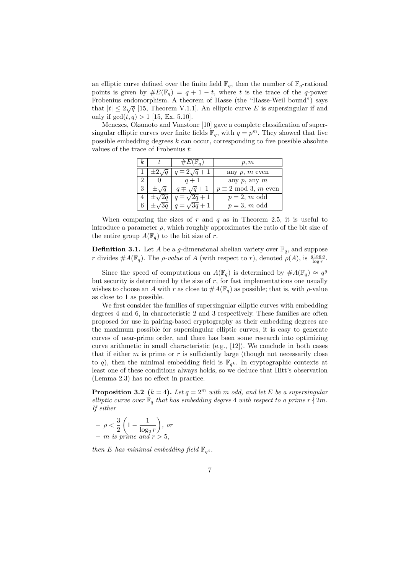an elliptic curve defined over the finite field  $\mathbb{F}_q$ , then the number of  $\mathbb{F}_q$ -rational points is given by  $\#E(\mathbb{F}_q) = q + 1 - t$ , where t is the trace of the q-power Frobenius endomorphism. A theorem of Hasse (the "Hasse-Weil bound") says that  $|t| \leq 2\sqrt{q}$  [15, Theorem V.1.1]. An elliptic curve E is supersingular if and only if  $gcd(t, q) > 1$  [15, Ex. 5.10].

Menezes, Okamoto and Vanstone [10] gave a complete classification of supersingular elliptic curves over finite fields  $\mathbb{F}_q$ , with  $q = p^m$ . They showed that five possible embedding degrees  $k$  can occur, corresponding to five possible absolute values of the trace of Frobenius t:

| k. | $\#E(\mathbb{F}_q)$   | p, m                         |  |
|----|-----------------------|------------------------------|--|
|    | $q\mp 2\sqrt{q}+1$    | any $p, m$ even              |  |
|    | $q+1$                 | any $p$ , any $m$            |  |
|    | $q \mp \sqrt{q} + 1$  | $p \equiv 2 \mod 3$ , m even |  |
|    | $q \mp \sqrt{2q} + 1$ | $p=2, m \text{ odd}$         |  |
|    | $\pm \sqrt{3}a + 1$   | $p=3, m$ odd                 |  |

When comparing the sizes of r and q as in Theorem 2.5, it is useful to introduce a parameter  $\rho$ , which roughly approximates the ratio of the bit size of the entire group  $A(\mathbb{F}_q)$  to the bit size of r.

**Definition 3.1.** Let A be a g-dimensional abelian variety over  $\mathbb{F}_q$ , and suppose r divides  $\#A(\mathbb{F}_q)$ . The *ρ-value* of A (with respect to r), denoted  $\rho(A)$ , is  $\frac{g \log q}{\log r}$ .

Since the speed of computations on  $A(\mathbb{F}_q)$  is determined by  $\#A(\mathbb{F}_q) \approx q^g$ but security is determined by the size of  $r$ , for fast implementations one usually wishes to choose an A with r as close to  $#A(\mathbb{F}_q)$  as possible; that is, with  $\rho$ -value as close to 1 as possible.

We first consider the families of supersingular elliptic curves with embedding degrees 4 and 6, in characteristic 2 and 3 respectively. These families are often proposed for use in pairing-based cryptography as their embedding degrees are the maximum possible for supersingular elliptic curves, it is easy to generate curves of near-prime order, and there has been some research into optimizing curve arithmetic in small characteristic (e.g., [12]). We conclude in both cases that if either  $m$  is prime or  $r$  is sufficiently large (though not necessarily close to q), then the minimal embedding field is  $\mathbb{F}_{q^k}$ . In cryptographic contexts at least one of these conditions always holds, so we deduce that Hitt's observation (Lemma 2.3) has no effect in practice.

**Proposition 3.2** ( $k = 4$ ). Let  $q = 2^m$  with m odd, and let E be a supersingular elliptic curve over  $\mathbb{F}_q$  that has embedding degree 4 with respect to a prime  $r \nmid 2m$ . If either

$$
- \rho < \frac{3}{2} \left( 1 - \frac{1}{\log_2 r} \right), \text{ or} \\ - m \text{ is prime and } r > 5,
$$

then E has minimal embedding field  $\mathbb{F}_{q^4}$ .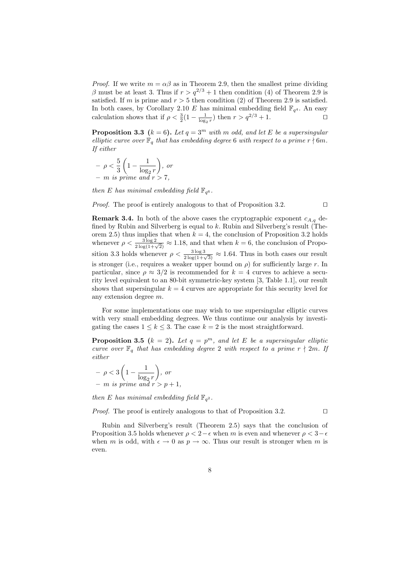*Proof.* If we write  $m = \alpha \beta$  as in Theorem 2.9, then the smallest prime dividing β must be at least 3. Thus if  $r > q^{2/3} + 1$  then condition (4) of Theorem 2.9 is satisfied. If m is prime and  $r > 5$  then condition (2) of Theorem 2.9 is satisfied. In both cases, by Corollary 2.10 E has minimal embedding field  $\mathbb{F}_{q^4}$ . An easy calculation shows that if  $\rho < \frac{3}{2}(1 - \frac{1}{\log_2 r})$  then  $r > q^{2/3} + 1$ .

**Proposition 3.3** ( $k = 6$ ). Let  $q = 3^m$  with m odd, and let E be a supersingular elliptic curve over  $\mathbb{F}_q$  that has embedding degree 6 with respect to a prime  $r \nmid 6m$ . If either

$$
- \rho < \frac{5}{3} \left( 1 - \frac{1}{\log_2 r} \right), \text{ or} \\ - m \text{ is prime and } r > 7,
$$

then E has minimal embedding field  $\mathbb{F}_{q^6}$ .

*Proof.* The proof is entirely analogous to that of Proposition 3.2.  $\Box$ 

**Remark 3.4.** In both of the above cases the cryptographic exponent  $c_{A,q}$  defined by Rubin and Silverberg is equal to  $k$ . Rubin and Silverberg's result (Theorem 2.5) thus implies that when  $k = 4$ , the conclusion of Proposition 3.2 holds whenever  $\rho < \frac{3 \log 2}{2 \log(1+\sqrt{2})} \approx 1.18$ , and that when  $k = 6$ , the conclusion of Proposition 3.3 holds whenever  $\rho < \frac{3 \log 3}{2 \log(1+\sqrt{3})} \approx 1.64$ . Thus in both cases our result is stronger (i.e., requires a weaker upper bound on  $\rho$ ) for sufficiently large r. In particular, since  $\rho \approx 3/2$  is recommended for  $k = 4$  curves to achieve a security level equivalent to an 80-bit symmetric-key system [3, Table 1.1], our result shows that supersingular  $k = 4$  curves are appropriate for this security level for any extension degree m.

For some implementations one may wish to use supersingular elliptic curves with very small embedding degrees. We thus continue our analysis by investigating the cases  $1 \leq k \leq 3$ . The case  $k = 2$  is the most straightforward.

**Proposition 3.5** ( $k = 2$ ). Let  $q = p^m$ , and let E be a supersingular elliptic curve over  $\mathbb{F}_q$  that has embedding degree 2 with respect to a prime  $r \nmid 2m$ . If either

$$
- \rho < 3 \left( 1 - \frac{1}{\log_2 r} \right), \text{ or}
$$
  
- m is prime and  $r > p + 1$ ,

then E has minimal embedding field  $\mathbb{F}_{q^2}$ .

*Proof.* The proof is entirely analogous to that of Proposition 3.2.  $\Box$ 

Rubin and Silverberg's result (Theorem 2.5) says that the conclusion of Proposition 3.5 holds whenever  $\rho < 2-\epsilon$  when m is even and whenever  $\rho < 3-\epsilon$ when m is odd, with  $\epsilon \to 0$  as  $p \to \infty$ . Thus our result is stronger when m is even.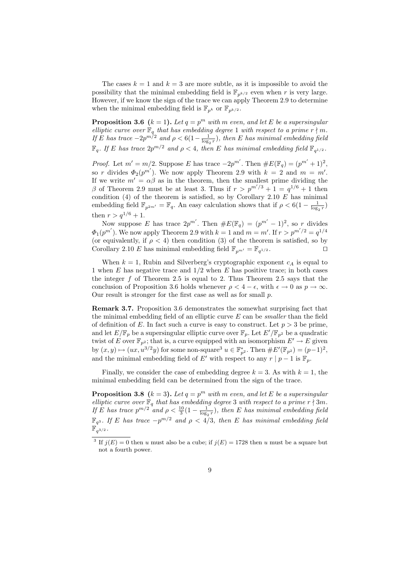The cases  $k = 1$  and  $k = 3$  are more subtle, as it is impossible to avoid the possibility that the minimal embedding field is  $\mathbb{F}_{p^{k/2}}$  even when r is very large. However, if we know the sign of the trace we can apply Theorem 2.9 to determine when the minimal embedding field is  $\mathbb{F}_{p^k}$  or  $\mathbb{F}_{p^{k/2}}$ .

**Proposition 3.6** ( $k = 1$ ). Let  $q = p^m$  with m even, and let E be a supersingular elliptic curve over  $\mathbb{F}_q$  that has embedding degree 1 with respect to a prime  $r \nmid m$ . If E has trace  $-2p^{m/2}$  and  $\rho < 6(1-\frac{1}{\log_2 r})$ , then E has minimal embedding field  $\mathbb{F}_q$ . If E has trace  $2p^{m/2}$  and  $\rho < 4$ , then E has minimal embedding field  $\mathbb{F}_{q^{1/2}}$ .

*Proof.* Let  $m' = m/2$ . Suppose E has trace  $-2p^{m'}$ . Then  $\#E(\mathbb{F}_q) = (p^{m'} + 1)^2$ , so r divides  $\Phi_2(p^{m'})$ . We now apply Theorem 2.9 with  $k = 2$  and  $m = m'$ . If we write  $m' = \alpha \beta$  as in the theorem, then the smallest prime dividing the β of Theorem 2.9 must be at least 3. Thus if  $r > p^{m'/3} + 1 = q^{1/6} + 1$  then condition  $(4)$  of the theorem is satisfied, so by Corollary 2.10 E has minimal embedding field  $\mathbb{F}_{p^{2m'}} = \mathbb{F}_q$ . An easy calculation shows that if  $\rho < 6(1 - \frac{1}{\log_2 r})$ then  $r > q^{1/6} + 1$ .

Now suppose E has trace  $2p^{m'}$ . Then  $\#E(\mathbb{F}_q) = (p^{m'}-1)^2$ , so r divides  $\Phi_1(p^{m'})$ . We now apply Theorem 2.9 with  $k=1$  and  $m=m'$ . If  $r > p^{m'/2} = q^{1/4}$ (or equivalently, if  $\rho < 4$ ) then condition (3) of the theorem is satisfied, so by Corollary 2.10 E has minimal embedding field  $\mathbb{F}_{p^{m'}} = \mathbb{F}_{q^{1/2}}$ .

When  $k = 1$ , Rubin and Silverberg's cryptographic exponent  $c<sub>A</sub>$  is equal to 1 when  $E$  has negative trace and  $1/2$  when  $E$  has positive trace; in both cases the integer  $f$  of Theorem 2.5 is equal to 2. Thus Theorem 2.5 says that the conclusion of Proposition 3.6 holds whenever  $\rho < 4 - \epsilon$ , with  $\epsilon \to 0$  as  $p \to \infty$ . Our result is stronger for the first case as well as for small  $p$ .

Remark 3.7. Proposition 3.6 demonstrates the somewhat surprising fact that the minimal embedding field of an elliptic curve  $E$  can be *smaller* than the field of definition of E. In fact such a curve is easy to construct. Let  $p > 3$  be prime, and let  $E/\mathbb{F}_p$  be a supersingular elliptic curve over  $\mathbb{F}_p$ . Let  $E'/\mathbb{F}_{p^2}$  be a quadratic twist of E over  $\mathbb{F}_{p^2}$ ; that is, a curve equipped with an isomorphism  $E' \to E$  given by  $(x, y) \mapsto (ux, u^{3/2}y)$  for some non-square<sup>3</sup>  $u \in \mathbb{F}_{p^2}^*$ . Then  $\#E'(\mathbb{F}_{p^2}) = (p-1)^2$ , and the minimal embedding field of E' with respect to any  $r | p - 1$  is  $\mathbb{F}_n$ .

Finally, we consider the case of embedding degree  $k = 3$ . As with  $k = 1$ , the minimal embedding field can be determined from the sign of the trace.

**Proposition 3.8** ( $k = 3$ ). Let  $q = p^m$  with m even, and let E be a supersingular elliptic curve over  $\mathbb{F}_q$  that has embedding degree 3 with respect to a prime r  $\nmid 3m$ . If E has trace  $p^{m/2}$  and  $\rho < \frac{10}{3}(1 - \frac{1}{\log_2 r})$ , then E has minimal embedding field  $\mathbb{F}_{q^3}$ . If E has trace  $-p^{m/2}$  and  $\rho < 4/3$ , then E has minimal embedding field  $\mathbb{F}_{q^{3/2}}^{'}$  .

<sup>&</sup>lt;sup>3</sup> If  $j(E) = 0$  then u must also be a cube; if  $j(E) = 1728$  then u must be a square but not a fourth power.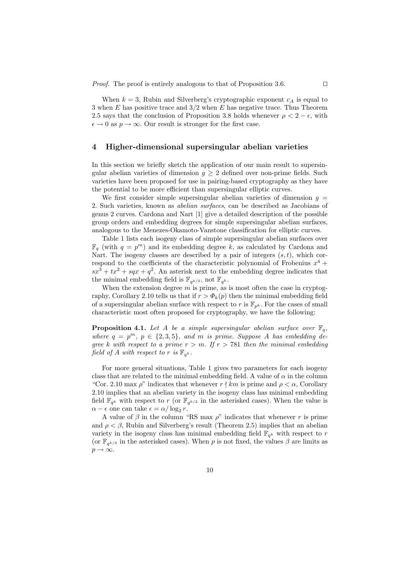When  $k = 3$ , Rubin and Silverberg's cryptographic exponent  $c<sub>A</sub>$  is equal to 3 when  $E$  has positive trace and  $3/2$  when  $E$  has negative trace. Thus Theorem 2.5 says that the conclusion of Proposition 3.8 holds whenever  $\rho < 2 - \epsilon$ , with  $\epsilon \to 0$  as  $p \to \infty$ . Our result is stronger for the first case.

# 4 Higher-dimensional supersingular abelian varieties

In this section we briefly sketch the application of our main result to supersingular abelian varieties of dimension  $g \geq 2$  defined over non-prime fields. Such varieties have been proposed for use in pairing-based cryptography as they have the potential to be more efficient than supersingular elliptic curves.

We first consider simple supersingular abelian varieties of dimension  $q =$ 2. Such varieties, known as abelian surfaces, can be described as Jacobians of genus 2 curves. Cardona and Nart [1] give a detailed description of the possible group orders and embedding degrees for simple supersingular abelian surfaces, analogous to the Menezes-Okamoto-Vanstone classification for elliptic curves.

Table 1 lists each isogeny class of simple supersingular abelian surfaces over  $\mathbb{F}_q$  (with  $q = p^m$ ) and its embedding degree k, as calculated by Cardona and Nart. The isogeny classes are described by a pair of integers  $(s, t)$ , which correspond to the coefficients of the characteristic polynomial of Frobenius  $x^4$  +  $sx^3 + tx^2 + sqx + q^2$ . An asterisk next to the embedding degree indicates that the minimal embedding field is  $\mathbb{F}_{q^{k/2}}$ , not  $\mathbb{F}_{q^k}$ .

When the extension degree  $m$  is prime, as is most often the case in cryptography, Corollary 2.10 tells us that if  $r > \Phi_k(p)$  then the minimal embedding field of a supersingular abelian surface with respect to r is  $\mathbb{F}_{p^k}$ . For the cases of small characteristic most often proposed for cryptography, we have the following:

**Proposition 4.1.** Let A be a simple supersingular abelian surface over  $\mathbb{F}_q$ , where  $q = p^m$ ,  $p \in \{2, 3, 5\}$ , and m is prime. Suppose A has embedding degree k with respect to a prime  $r > m$ . If  $r > 781$  then the minimal embedding field of A with respect to r is  $\mathbb{F}_{q^k}$ .

For more general situations, Table 1 gives two parameters for each isogeny class that are related to the minimal embedding field. A value of  $\alpha$  in the column "Cor. 2.10 max  $\rho$ " indicates that whenever  $r \nmid km$  is prime and  $\rho < \alpha$ , Corollary 2.10 implies that an abelian variety in the isogeny class has minimal embedding field  $\mathbb{F}_{q^k}$  with respect to r (or  $\mathbb{F}_{q^{k/2}}$  in the asterisked cases). When the value is  $\alpha - \epsilon$  one can take  $\epsilon = \alpha / \log_2 r$ .

A value of  $\beta$  in the column "RS max  $\rho$ " indicates that whenever r is prime and  $\rho < \beta$ , Rubin and Silverberg's result (Theorem 2.5) implies that an abelian variety in the isogeny class has minimal embedding field  $\mathbb{F}_{q^k}$  with respect to r (or  $\mathbb{F}_{q^{k/2}}$  in the asterisked cases). When p is not fixed, the values  $\beta$  are limits as  $p \to \infty$ .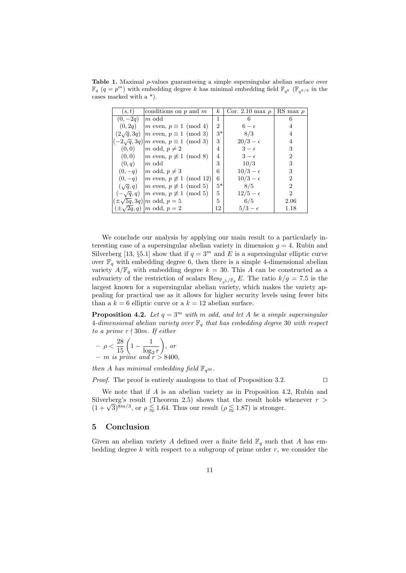Table 1. Maximal  $\rho$ -values guaranteeing a simple supersingular abelian surface over  $\mathbb{F}_q$   $(q = p^m)$  with embedding degree k has minimal embedding field  $\mathbb{F}_{q^k}$  ( $\mathbb{F}_{q^{k/2}}$  in the cases marked with a \*).

| (s,t)             | conditions on $p$ and $m$                         | $\kappa$       | Cor. 2.10 max $\rho$ | RS max $\rho$  |
|-------------------|---------------------------------------------------|----------------|----------------------|----------------|
| $(0,-2q)$         | $ m$ odd                                          | 1              | 6                    | 6              |
| (0, 2q)           | $ m \text{ even}, p \equiv 1 \pmod{4}$            | $\overline{2}$ | $6-\epsilon$         | 4              |
| $(2\sqrt{q}, 3q)$ | $ m \text{ even}, p \equiv 1 \pmod{3}$            | $3*$           | 8/3                  | 4              |
|                   | $(-2\sqrt{q}, 3q)$  m even, $p \equiv 1 \pmod{3}$ | 3              | $20/3-\epsilon$      | 4              |
| (0,0)             | $ m \text{ odd}, p \neq 2$                        | 4              | $3-\epsilon$         | 3              |
| (0,0)             | $ m \text{ even}, p \not\equiv 1 \pmod{8}$        | 4              | $3-\epsilon$         | $\overline{2}$ |
| (0,q)             | $ m$ odd                                          | 3              | 10/3                 | 3              |
| $(0,-q)$          | $ m \text{ odd}, p \neq 3$                        | 6              | $10/3 - \epsilon$    | 3              |
| $(0,-q)$          | $ m \text{ even}, p \not\equiv 1 \pmod{12}$       | 6.             | $10/3 - \epsilon$    | $\overline{2}$ |
| $(\sqrt{q}, q)$   | $ m \text{ even}, p \not\equiv 1 \pmod{5}$        | $5*$           | 8/5                  | $\overline{2}$ |
| $(-\sqrt{q}, q)$  | $ m \text{ even}, p \not\equiv 1 \pmod{5}$        | 5              | $12/5-\epsilon$      | $\overline{2}$ |
|                   | $(\pm \sqrt{5q}, 3q)$  m odd, $p = 5$             | 5              | 6/5                  | 2.06           |
|                   | $(\pm \sqrt{2q}, q)$   <i>m</i> odd, $p = 2$      | 12             | $5/3-\epsilon$       | 1.18           |

We conclude our analysis by applying our main result to a particularly interesting case of a supersingular abelian variety in dimension  $g = 4$ . Rubin and Silverberg [13,  $\S 5.1$ ] show that if  $q = 3^m$  and E is a supersingular elliptic curve over  $\mathbb{F}_q$  with embedding degree 6, then there is a simple 4-dimensional abelian variety  $A/\mathbb{F}_q$  with embedding degree  $k = 30$ . This A can be constructed as a subvariety of the restriction of scalars  $\text{Res}_{\mathbb{F}_{q^5}/\mathbb{F}_q} E$ . The ratio  $k/g = 7.5$  is the largest known for a supersingular abelian variety, which makes the variety appealing for practical use as it allows for higher security levels using fewer bits than a  $k = 6$  elliptic curve or a  $k = 12$  abelian surface.

**Proposition 4.2.** Let  $q = 3^m$  with m odd, and let A be a simple supersingular 4-dimensional abelian variety over  $\mathbb{F}_q$  that has embedding degree 30 with respect to a prime  $r \nmid 30m$ . If either

$$
- \rho < \frac{28}{15} \left( 1 - \frac{1}{\log_2 r} \right), \text{ or}
$$
  
- m is prime and  $r > 8400$ ,

then A has minimal embedding field  $\mathbb{F}_{q^{30}}$ .

*Proof.* The proof is entirely analogous to that of Proposition 3.2.  $\Box$ 

We note that if A is an abelian variety as in Proposition 4.2, Rubin and Silverberg's result (Theorem 2.5) shows that the result holds whenever  $r >$ Suverberg's result (1 neorem 2.5) shows that the result holds  $(1 + \sqrt{3})^{8m/3}$ , or  $\rho \lesssim 1.64$ . Thus our result  $(\rho \lesssim 1.87)$  is stronger.

### 5 Conclusion

Given an abelian variety A defined over a finite field  $\mathbb{F}_q$  such that A has embedding degree  $k$  with respect to a subgroup of prime order  $r$ , we consider the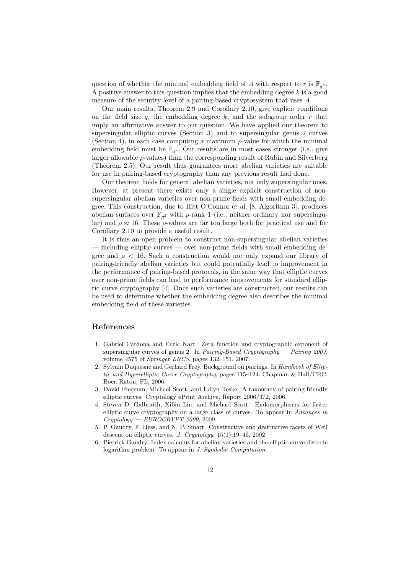question of whether the minimal embedding field of A with respect to r is  $\mathbb{F}_{q^k}$ . A positive answer to this question implies that the embedding degree  $k$  is a good measure of the security level of a pairing-based cryptosystem that uses A.

Our main results, Theorem 2.9 and Corollary 2.10, give explicit conditions on the field size q, the embedding degree  $k$ , and the subgroup order  $r$  that imply an affirmative answer to our question. We have applied our theorem to supersingular elliptic curves (Section 3) and to supersingular genus 2 curves (Section 4), in each case computing a maximum  $\rho$ -value for which the minimal embedding field must be  $\mathbb{F}_{q^k}$ . Our results are in most cases stronger (i.e., give larger allowable  $\rho$ -values) than the corresponding result of Rubin and Silverberg (Theorem 2.5). Our result thus guarantees more abelian varieties are suitable for use in pairing-based cryptography than any previous result had done.

Our theorem holds for general abelian varieties, not only supersingular ones. However, at present there exists only a single explicit construction of nonsupersingular abelian varieties over non-prime fields with small embedding degree. This construction, due to Hitt O'Connor et al. [8, Algorithm 3], produces abelian surfaces over  $\mathbb{F}_{p^2}$  with p-rank 1 (i.e., neither ordinary nor supersingular) and  $\rho \approx 16$ . These  $\rho$ -values are far too large both for practical use and for Corollary 2.10 to provide a useful result.

It is thus an open problem to construct non-supersingular abelian varieties  $\alpha$  including elliptic curves — over non-prime fields with small embedding degree and  $\rho < 16$ . Such a construction would not only expand our library of pairing-friendly abelian varieties but could potentially lead to improvement in the performance of pairing-based protocols, in the same way that elliptic curves over non-prime fields can lead to performance improvements for standard elliptic curve cryptography [4]. Once such varieties are constructed, our results can be used to determine whether the embedding degree also describes the minimal embedding field of these varieties.

# References

- 1. Gabriel Cardona and Enric Nart. Zeta function and cryptographic exponent of supersingular curves of genus 2. In *Pairing-Based Cryptography — Pairing 2007*, volume 4575 of Springer LNCS, pages 132–151, 2007.
- 2. Sylvain Duquesne and Gerhard Frey. Background on pairings. In Handbook of Elliptic and Hyperelliptic Curve Cryptography, pages 115–124. Chapman & Hall/CRC, Boca Raton, FL, 2006.
- 3. David Freeman, Michael Scott, and Edlyn Teske. A taxonomy of pairing-friendly elliptic curves. Cryptology ePrint Archive, Report 2006/372, 2006.
- 4. Steven D. Galbraith, Xibin Lin, and Michael Scott. Endomorphisms for faster elliptic curve cryptography on a large class of curves. To appear in Advances in  $Cryptology - EUROCRYPT 2009, 2009.$
- 5. P. Gaudry, F. Hess, and N. P. Smart. Constructive and destructive facets of Weil descent on elliptic curves. J. Cryptology, 15(1):19–46, 2002.
- 6. Pierrick Gaudry. Index calculus for abelian varieties and the elliptic curve discrete logarithm problem. To appear in J. Symbolic Computation.